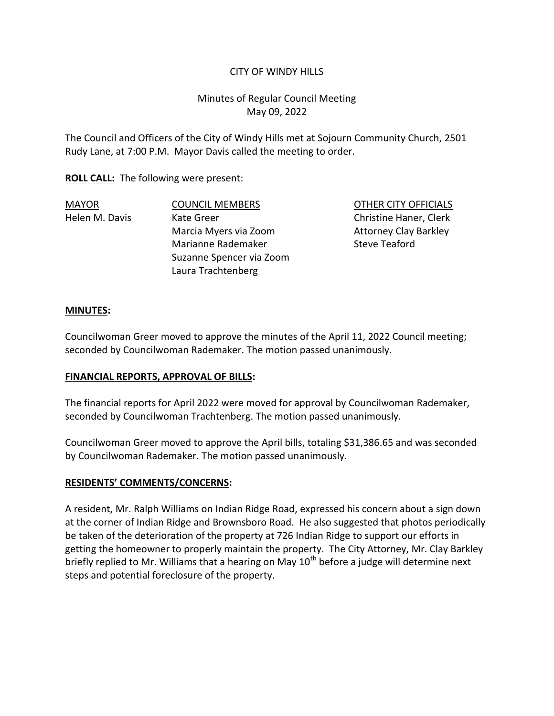### CITY OF WINDY HILLS

# Minutes of Regular Council Meeting May 09, 2022

The Council and Officers of the City of Windy Hills met at Sojourn Community Church, 2501 Rudy Lane, at 7:00 P.M. Mayor Davis called the meeting to order.

**ROLL CALL:** The following were present:

MAYOR COUNCIL MEMBERS OTHER CITY OFFICIALS Helen M. Davis Christine Kate Greer Christine Haner, Clerk Marcia Myers via Zoom Attorney Clay Barkley Marianne Rademaker Steve Teaford Suzanne Spencer via Zoom Laura Trachtenberg

#### **MINUTES:**

Councilwoman Greer moved to approve the minutes of the April 11, 2022 Council meeting; seconded by Councilwoman Rademaker. The motion passed unanimously.

### **FINANCIAL REPORTS, APPROVAL OF BILLS:**

The financial reports for April 2022 were moved for approval by Councilwoman Rademaker, seconded by Councilwoman Trachtenberg. The motion passed unanimously.

Councilwoman Greer moved to approve the April bills, totaling \$31,386.65 and was seconded by Councilwoman Rademaker. The motion passed unanimously.

#### **RESIDENTS' COMMENTS/CONCERNS:**

A resident, Mr. Ralph Williams on Indian Ridge Road, expressed his concern about a sign down at the corner of Indian Ridge and Brownsboro Road. He also suggested that photos periodically be taken of the deterioration of the property at 726 Indian Ridge to support our efforts in getting the homeowner to properly maintain the property. The City Attorney, Mr. Clay Barkley briefly replied to Mr. Williams that a hearing on May  $10<sup>th</sup>$  before a judge will determine next steps and potential foreclosure of the property.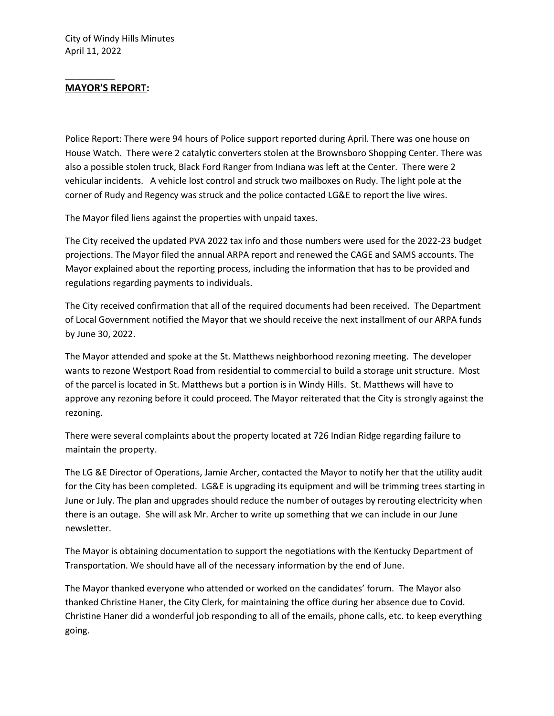### **MAYOR'S REPORT:**

\_\_\_\_\_\_\_\_\_\_

Police Report: There were 94 hours of Police support reported during April. There was one house on House Watch. There were 2 catalytic converters stolen at the Brownsboro Shopping Center. There was also a possible stolen truck, Black Ford Ranger from Indiana was left at the Center. There were 2 vehicular incidents. A vehicle lost control and struck two mailboxes on Rudy. The light pole at the corner of Rudy and Regency was struck and the police contacted LG&E to report the live wires.

The Mayor filed liens against the properties with unpaid taxes.

The City received the updated PVA 2022 tax info and those numbers were used for the 2022-23 budget projections. The Mayor filed the annual ARPA report and renewed the CAGE and SAMS accounts. The Mayor explained about the reporting process, including the information that has to be provided and regulations regarding payments to individuals.

The City received confirmation that all of the required documents had been received. The Department of Local Government notified the Mayor that we should receive the next installment of our ARPA funds by June 30, 2022.

The Mayor attended and spoke at the St. Matthews neighborhood rezoning meeting. The developer wants to rezone Westport Road from residential to commercial to build a storage unit structure. Most of the parcel is located in St. Matthews but a portion is in Windy Hills. St. Matthews will have to approve any rezoning before it could proceed. The Mayor reiterated that the City is strongly against the rezoning.

There were several complaints about the property located at 726 Indian Ridge regarding failure to maintain the property.

The LG &E Director of Operations, Jamie Archer, contacted the Mayor to notify her that the utility audit for the City has been completed. LG&E is upgrading its equipment and will be trimming trees starting in June or July. The plan and upgrades should reduce the number of outages by rerouting electricity when there is an outage. She will ask Mr. Archer to write up something that we can include in our June newsletter.

The Mayor is obtaining documentation to support the negotiations with the Kentucky Department of Transportation. We should have all of the necessary information by the end of June.

The Mayor thanked everyone who attended or worked on the candidates' forum. The Mayor also thanked Christine Haner, the City Clerk, for maintaining the office during her absence due to Covid. Christine Haner did a wonderful job responding to all of the emails, phone calls, etc. to keep everything going.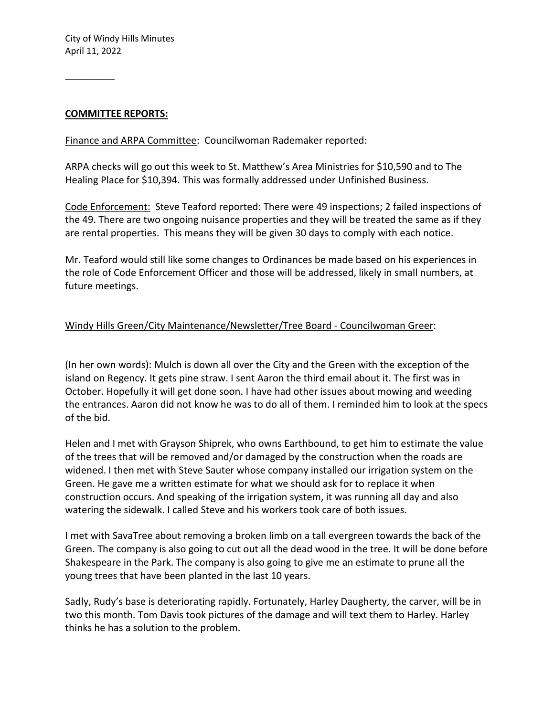#### **COMMITTEE REPORTS:**

Finance and ARPA Committee: Councilwoman Rademaker reported:

ARPA checks will go out this week to St. Matthew's Area Ministries for \$10,590 and to The Healing Place for \$10,394. This was formally addressed under Unfinished Business.

Code Enforcement: Steve Teaford reported: There were 49 inspections; 2 failed inspections of the 49. There are two ongoing nuisance properties and they will be treated the same as if they are rental properties. This means they will be given 30 days to comply with each notice.

Mr. Teaford would still like some changes to Ordinances be made based on his experiences in the role of Code Enforcement Officer and those will be addressed, likely in small numbers, at future meetings.

### Windy Hills Green/City Maintenance/Newsletter/Tree Board - Councilwoman Greer:

(In her own words): Mulch is down all over the City and the Green with the exception of the island on Regency. It gets pine straw. I sent Aaron the third email about it. The first was in October. Hopefully it will get done soon. I have had other issues about mowing and weeding the entrances. Aaron did not know he was to do all of them. I reminded him to look at the specs of the bid.

Helen and I met with Grayson Shiprek, who owns Earthbound, to get him to estimate the value of the trees that will be removed and/or damaged by the construction when the roads are widened. I then met with Steve Sauter whose company installed our irrigation system on the Green. He gave me a written estimate for what we should ask for to replace it when construction occurs. And speaking of the irrigation system, it was running all day and also watering the sidewalk. I called Steve and his workers took care of both issues.

I met with SavaTree about removing a broken limb on a tall evergreen towards the back of the Green. The company is also going to cut out all the dead wood in the tree. It will be done before Shakespeare in the Park. The company is also going to give me an estimate to prune all the young trees that have been planted in the last 10 years.

Sadly, Rudy's base is deteriorating rapidly. Fortunately, Harley Daugherty, the carver, will be in two this month. Tom Davis took pictures of the damage and will text them to Harley. Harley thinks he has a solution to the problem.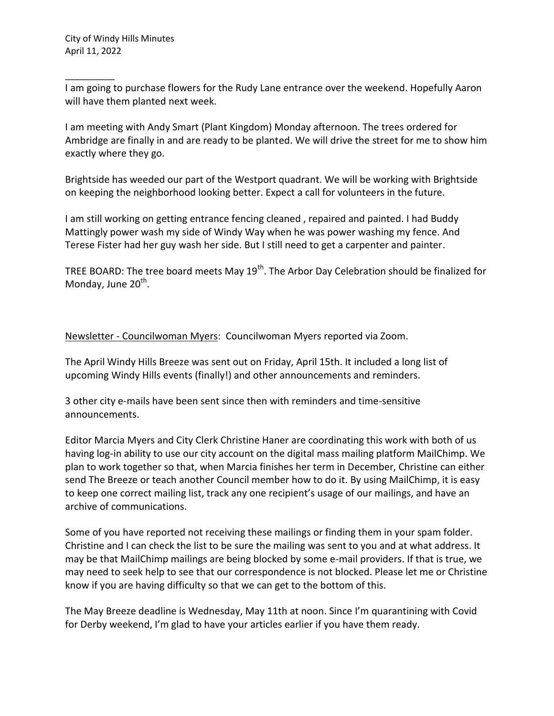I am going to purchase flowers for the Rudy Lane entrance over the weekend. Hopefully Aaron will have them planted next week.

I am meeting with Andy Smart (Plant Kingdom) Monday afternoon. The trees ordered for Ambridge are finally in and are ready to be planted. We will drive the street for me to show him exactly where they go.

Brightside has weeded our part of the Westport quadrant. We will be working with Brightside on keeping the neighborhood looking better. Expect a call for volunteers in the future.

I am still working on getting entrance fencing cleaned , repaired and painted. I had Buddy Mattingly power wash my side of Windy Way when he was power washing my fence. And Terese Fister had her guy wash her side. But I still need to get a carpenter and painter.

TREE BOARD: The tree board meets May  $19<sup>th</sup>$ . The Arbor Day Celebration should be finalized for Monday, June 20<sup>th</sup>.

Newsletter - Councilwoman Myers: Councilwoman Myers reported via Zoom.

The April Windy Hills Breeze was sent out on Friday, April 15th. It included a long list of upcoming Windy Hills events (finally!) and other announcements and reminders.

3 other city e-mails have been sent since then with reminders and time-sensitive announcements.

Editor Marcia Myers and City Clerk Christine Haner are coordinating this work with both of us having log-in ability to use our city account on the digital mass mailing platform MailChimp. We plan to work together so that, when Marcia finishes her term in December, Christine can either send The Breeze or teach another Council member how to do it. By using MailChimp, it is easy to keep one correct mailing list, track any one recipient's usage of our mailings, and have an archive of communications.

Some of you have reported not receiving these mailings or finding them in your spam folder. Christine and I can check the list to be sure the mailing was sent to you and at what address. It may be that MailChimp mailings are being blocked by some e-mail providers. If that is true, we may need to seek help to see that our correspondence is not blocked. Please let me or Christine know if you are having difficulty so that we can get to the bottom of this.

The May Breeze deadline is Wednesday, May 11th at noon. Since I'm quarantining with Covid for Derby weekend, I'm glad to have your articles earlier if you have them ready.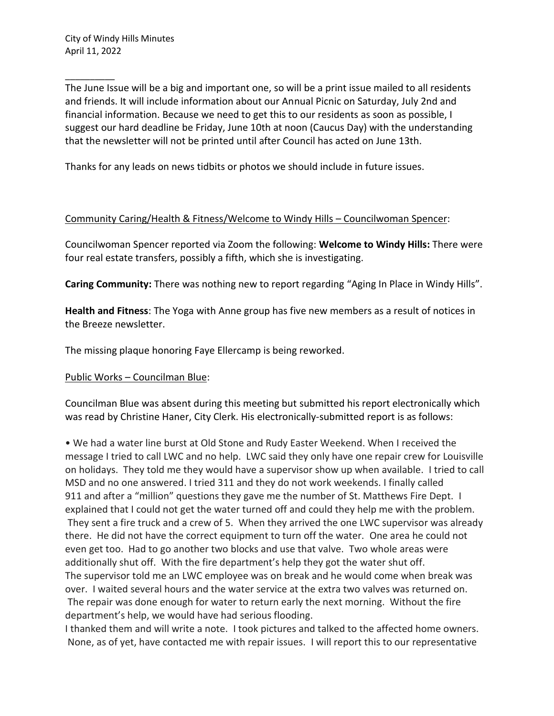The June Issue will be a big and important one, so will be a print issue mailed to all residents and friends. It will include information about our Annual Picnic on Saturday, July 2nd and financial information. Because we need to get this to our residents as soon as possible, I suggest our hard deadline be Friday, June 10th at noon (Caucus Day) with the understanding that the newsletter will not be printed until after Council has acted on June 13th.

Thanks for any leads on news tidbits or photos we should include in future issues.

### Community Caring/Health & Fitness/Welcome to Windy Hills – Councilwoman Spencer:

Councilwoman Spencer reported via Zoom the following: **Welcome to Windy Hills:** There were four real estate transfers, possibly a fifth, which she is investigating.

**Caring Community:** There was nothing new to report regarding "Aging In Place in Windy Hills".

**Health and Fitness**: The Yoga with Anne group has five new members as a result of notices in the Breeze newsletter.

The missing plaque honoring Faye Ellercamp is being reworked.

### Public Works – Councilman Blue:

Councilman Blue was absent during this meeting but submitted his report electronically which was read by Christine Haner, City Clerk. His electronically-submitted report is as follows:

• We had a water line burst at Old Stone and Rudy Easter Weekend. When I received the message I tried to call LWC and no help. LWC said they only have one repair crew for Louisville on holidays. They told me they would have a supervisor show up when available. I tried to call MSD and no one answered. I tried 311 and they do not work weekends. I finally called 911 and after a "million" questions they gave me the number of St. Matthews Fire Dept. I explained that I could not get the water turned off and could they help me with the problem. They sent a fire truck and a crew of 5. When they arrived the one LWC supervisor was already there. He did not have the correct equipment to turn off the water. One area he could not even get too. Had to go another two blocks and use that valve. Two whole areas were additionally shut off. With the fire department's help they got the water shut off. The supervisor told me an LWC employee was on break and he would come when break was over. I waited several hours and the water service at the extra two valves was returned on. The repair was done enough for water to return early the next morning. Without the fire department's help, we would have had serious flooding.

I thanked them and will write a note. I took pictures and talked to the affected home owners. None, as of yet, have contacted me with repair issues. I will report this to our representative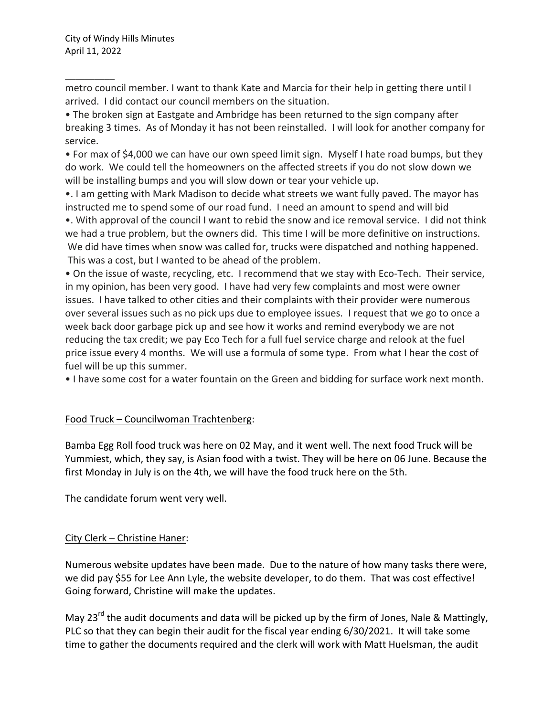metro council member. I want to thank Kate and Marcia for their help in getting there until I arrived. I did contact our council members on the situation.

• The broken sign at Eastgate and Ambridge has been returned to the sign company after breaking 3 times. As of Monday it has not been reinstalled. I will look for another company for service.

• For max of \$4,000 we can have our own speed limit sign. Myself I hate road bumps, but they do work. We could tell the homeowners on the affected streets if you do not slow down we will be installing bumps and you will slow down or tear your vehicle up.

•. I am getting with Mark Madison to decide what streets we want fully paved. The mayor has instructed me to spend some of our road fund. I need an amount to spend and will bid

•. With approval of the council I want to rebid the snow and ice removal service. I did not think we had a true problem, but the owners did. This time I will be more definitive on instructions. We did have times when snow was called for, trucks were dispatched and nothing happened. This was a cost, but I wanted to be ahead of the problem.

• On the issue of waste, recycling, etc. I recommend that we stay with Eco-Tech. Their service, in my opinion, has been very good. I have had very few complaints and most were owner issues. I have talked to other cities and their complaints with their provider were numerous over several issues such as no pick ups due to employee issues. I request that we go to once a week back door garbage pick up and see how it works and remind everybody we are not reducing the tax credit; we pay Eco Tech for a full fuel service charge and relook at the fuel price issue every 4 months. We will use a formula of some type. From what I hear the cost of fuel will be up this summer.

• I have some cost for a water fountain on the Green and bidding for surface work next month.

### Food Truck – Councilwoman Trachtenberg:

Bamba Egg Roll food truck was here on 02 May, and it went well. The next food Truck will be Yummiest, which, they say, is Asian food with a twist. They will be here on 06 June. Because the first Monday in July is on the 4th, we will have the food truck here on the 5th.

The candidate forum went very well.

# City Clerk – Christine Haner:

Numerous website updates have been made. Due to the nature of how many tasks there were, we did pay \$55 for Lee Ann Lyle, the website developer, to do them. That was cost effective! Going forward, Christine will make the updates.

May 23<sup>rd</sup> the audit documents and data will be picked up by the firm of Jones, Nale & Mattingly, PLC so that they can begin their audit for the fiscal year ending 6/30/2021. It will take some time to gather the documents required and the clerk will work with Matt Huelsman, the audit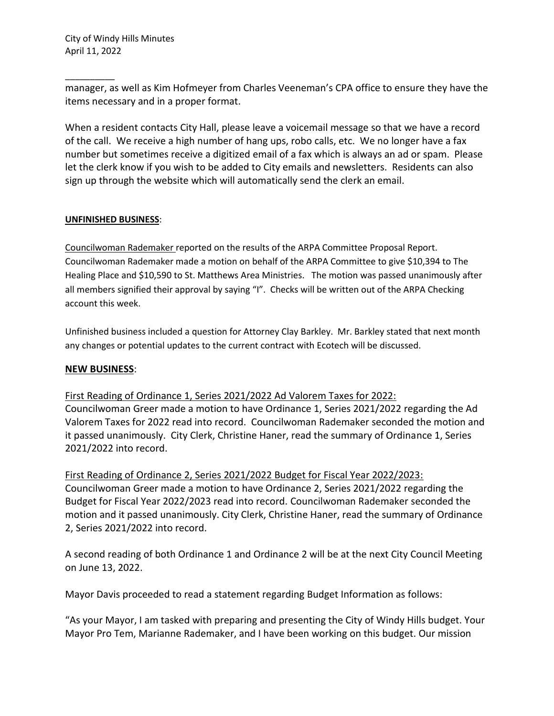manager, as well as Kim Hofmeyer from Charles Veeneman's CPA office to ensure they have the items necessary and in a proper format.

When a resident contacts City Hall, please leave a voicemail message so that we have a record of the call. We receive a high number of hang ups, robo calls, etc. We no longer have a fax number but sometimes receive a digitized email of a fax which is always an ad or spam. Please let the clerk know if you wish to be added to City emails and newsletters. Residents can also sign up through the website which will automatically send the clerk an email.

### **UNFINISHED BUSINESS**:

Councilwoman Rademaker reported on the results of the ARPA Committee Proposal Report. Councilwoman Rademaker made a motion on behalf of the ARPA Committee to give \$10,394 to The Healing Place and \$10,590 to St. Matthews Area Ministries. The motion was passed unanimously after all members signified their approval by saying "I". Checks will be written out of the ARPA Checking account this week.

Unfinished business included a question for Attorney Clay Barkley. Mr. Barkley stated that next month any changes or potential updates to the current contract with Ecotech will be discussed.

### **NEW BUSINESS**:

First Reading of Ordinance 1, Series 2021/2022 Ad Valorem Taxes for 2022: Councilwoman Greer made a motion to have Ordinance 1, Series 2021/2022 regarding the Ad Valorem Taxes for 2022 read into record. Councilwoman Rademaker seconded the motion and it passed unanimously. City Clerk, Christine Haner, read the summary of Ordinance 1, Series 2021/2022 into record.

First Reading of Ordinance 2, Series 2021/2022 Budget for Fiscal Year 2022/2023: Councilwoman Greer made a motion to have Ordinance 2, Series 2021/2022 regarding the Budget for Fiscal Year 2022/2023 read into record. Councilwoman Rademaker seconded the motion and it passed unanimously. City Clerk, Christine Haner, read the summary of Ordinance 2, Series 2021/2022 into record.

A second reading of both Ordinance 1 and Ordinance 2 will be at the next City Council Meeting on June 13, 2022.

Mayor Davis proceeded to read a statement regarding Budget Information as follows:

"As your Mayor, I am tasked with preparing and presenting the City of Windy Hills budget. Your Mayor Pro Tem, Marianne Rademaker, and I have been working on this budget. Our mission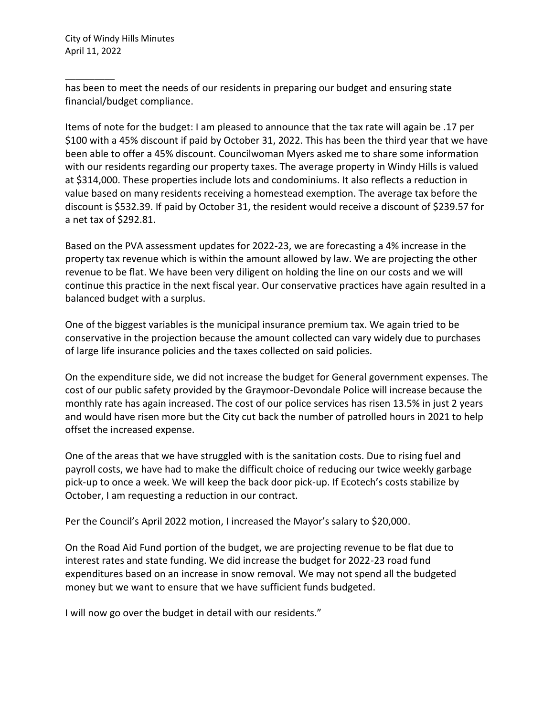has been to meet the needs of our residents in preparing our budget and ensuring state financial/budget compliance.

Items of note for the budget: I am pleased to announce that the tax rate will again be .17 per \$100 with a 45% discount if paid by October 31, 2022. This has been the third year that we have been able to offer a 45% discount. Councilwoman Myers asked me to share some information with our residents regarding our property taxes. The average property in Windy Hills is valued at \$314,000. These properties include lots and condominiums. It also reflects a reduction in value based on many residents receiving a homestead exemption. The average tax before the discount is \$532.39. If paid by October 31, the resident would receive a discount of \$239.57 for a net tax of \$292.81.

Based on the PVA assessment updates for 2022-23, we are forecasting a 4% increase in the property tax revenue which is within the amount allowed by law. We are projecting the other revenue to be flat. We have been very diligent on holding the line on our costs and we will continue this practice in the next fiscal year. Our conservative practices have again resulted in a balanced budget with a surplus.

One of the biggest variables is the municipal insurance premium tax. We again tried to be conservative in the projection because the amount collected can vary widely due to purchases of large life insurance policies and the taxes collected on said policies.

On the expenditure side, we did not increase the budget for General government expenses. The cost of our public safety provided by the Graymoor-Devondale Police will increase because the monthly rate has again increased. The cost of our police services has risen 13.5% in just 2 years and would have risen more but the City cut back the number of patrolled hours in 2021 to help offset the increased expense.

One of the areas that we have struggled with is the sanitation costs. Due to rising fuel and payroll costs, we have had to make the difficult choice of reducing our twice weekly garbage pick-up to once a week. We will keep the back door pick-up. If Ecotech's costs stabilize by October, I am requesting a reduction in our contract.

Per the Council's April 2022 motion, I increased the Mayor's salary to \$20,000.

On the Road Aid Fund portion of the budget, we are projecting revenue to be flat due to interest rates and state funding. We did increase the budget for 2022-23 road fund expenditures based on an increase in snow removal. We may not spend all the budgeted money but we want to ensure that we have sufficient funds budgeted.

I will now go over the budget in detail with our residents."